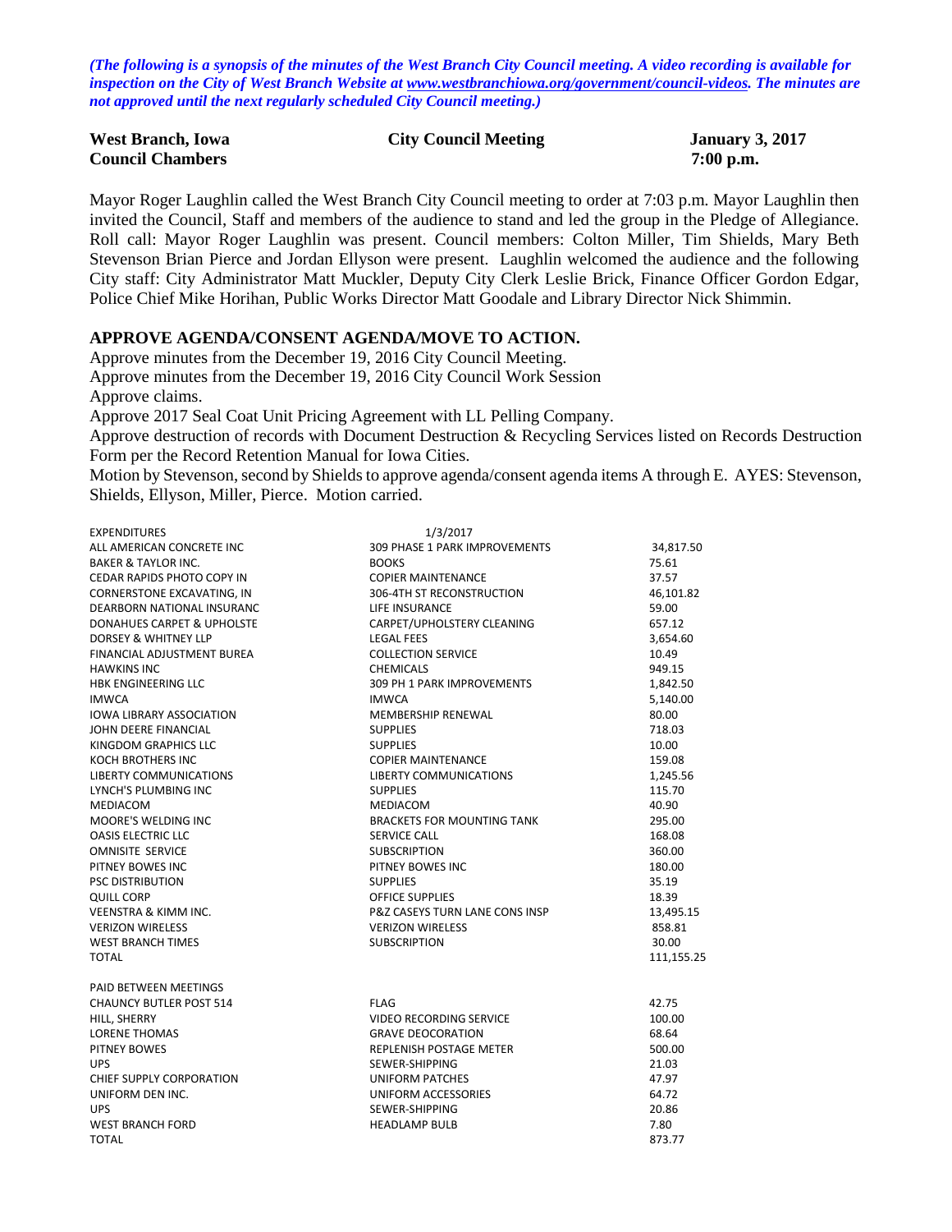*(The following is a synopsis of the minutes of the West Branch City Council meeting. A video recording is available for inspection on the City of West Branch Website at [www.westbranchiowa.org/government/council-videos.](http://www.westbranchiowa.org/government/council-videos) The minutes are not approved until the next regularly scheduled City Council meeting.)*

| <b>West Branch, Iowa</b> | <b>City Council Meeting</b> | <b>January 3, 2017</b> |
|--------------------------|-----------------------------|------------------------|
| <b>Council Chambers</b>  |                             | $7:00$ p.m.            |

Mayor Roger Laughlin called the West Branch City Council meeting to order at 7:03 p.m. Mayor Laughlin then invited the Council, Staff and members of the audience to stand and led the group in the Pledge of Allegiance. Roll call: Mayor Roger Laughlin was present. Council members: Colton Miller, Tim Shields, Mary Beth Stevenson Brian Pierce and Jordan Ellyson were present. Laughlin welcomed the audience and the following City staff: City Administrator Matt Muckler, Deputy City Clerk Leslie Brick, Finance Officer Gordon Edgar, Police Chief Mike Horihan, Public Works Director Matt Goodale and Library Director Nick Shimmin.

### **APPROVE AGENDA/CONSENT AGENDA/MOVE TO ACTION.**

Approve minutes from the December 19, 2016 City Council Meeting. Approve minutes from the December 19, 2016 City Council Work Session Approve claims. Approve 2017 Seal Coat Unit Pricing Agreement with LL Pelling Company. Approve destruction of records with Document Destruction & Recycling Services listed on Records Destruction Form per the Record Retention Manual for Iowa Cities. Motion by Stevenson, second by Shields to approve agenda/consent agenda items A through E. AYES: Stevenson,

Shields, Ellyson, Miller, Pierce. Motion carried.

| <b>EXPENDITURES</b>               | 1/3/2017                                  |            |
|-----------------------------------|-------------------------------------------|------------|
| ALL AMERICAN CONCRETE INC         | 309 PHASE 1 PARK IMPROVEMENTS             | 34,817.50  |
| <b>BAKER &amp; TAYLOR INC.</b>    | <b>BOOKS</b>                              | 75.61      |
| CEDAR RAPIDS PHOTO COPY IN        | <b>COPIER MAINTENANCE</b>                 | 37.57      |
| CORNERSTONE EXCAVATING, IN        | 306-4TH ST RECONSTRUCTION                 | 46,101.82  |
| DEARBORN NATIONAL INSURANC        | LIFE INSURANCE                            | 59.00      |
| DONAHUES CARPET & UPHOLSTE        | CARPET/UPHOLSTERY CLEANING                | 657.12     |
| <b>DORSEY &amp; WHITNEY LLP</b>   | <b>LEGAL FEES</b>                         | 3,654.60   |
| <b>FINANCIAL ADJUSTMENT BUREA</b> | <b>COLLECTION SERVICE</b>                 | 10.49      |
| <b>HAWKINS INC</b>                | <b>CHEMICALS</b>                          | 949.15     |
| <b>HBK ENGINEERING LLC</b>        | 309 PH 1 PARK IMPROVEMENTS                | 1,842.50   |
| <b>IMWCA</b>                      | <b>IMWCA</b>                              | 5,140.00   |
| <b>IOWA LIBRARY ASSOCIATION</b>   | MEMBERSHIP RENEWAL                        | 80.00      |
| JOHN DEERE FINANCIAL              | <b>SUPPLIES</b>                           | 718.03     |
| KINGDOM GRAPHICS LLC              | <b>SUPPLIES</b>                           | 10.00      |
| <b>KOCH BROTHERS INC</b>          | <b>COPIER MAINTENANCE</b>                 | 159.08     |
| LIBERTY COMMUNICATIONS            | LIBERTY COMMUNICATIONS                    | 1,245.56   |
| LYNCH'S PLUMBING INC              | <b>SUPPLIES</b>                           | 115.70     |
| MEDIACOM                          | <b>MEDIACOM</b>                           | 40.90      |
| <b>MOORE'S WELDING INC</b>        | <b>BRACKETS FOR MOUNTING TANK</b>         | 295.00     |
| <b>OASIS ELECTRIC LLC</b>         | SERVICE CALL                              | 168.08     |
| <b>OMNISITE SERVICE</b>           | <b>SUBSCRIPTION</b>                       | 360.00     |
| PITNEY BOWES INC                  | PITNEY BOWES INC                          | 180.00     |
| <b>PSC DISTRIBUTION</b>           | <b>SUPPLIES</b>                           | 35.19      |
| <b>QUILL CORP</b>                 | <b>OFFICE SUPPLIES</b>                    | 18.39      |
| <b>VEENSTRA &amp; KIMM INC.</b>   | <b>P&amp;Z CASEYS TURN LANE CONS INSP</b> | 13,495.15  |
| <b>VERIZON WIRELESS</b>           | <b>VERIZON WIRELESS</b>                   | 858.81     |
| <b>WEST BRANCH TIMES</b>          | <b>SUBSCRIPTION</b>                       | 30.00      |
| <b>TOTAL</b>                      |                                           | 111,155.25 |
| PAID BETWEEN MEETINGS             |                                           |            |
| <b>CHAUNCY BUTLER POST 514</b>    | <b>FLAG</b>                               | 42.75      |
| HILL, SHERRY                      | <b>VIDEO RECORDING SERVICE</b>            | 100.00     |
| <b>LORENE THOMAS</b>              | <b>GRAVE DEOCORATION</b>                  | 68.64      |
| PITNEY BOWES                      | REPLENISH POSTAGE METER                   | 500.00     |
| <b>UPS</b>                        | SEWER-SHIPPING                            | 21.03      |
| CHIEF SUPPLY CORPORATION          | UNIFORM PATCHES                           | 47.97      |
| UNIFORM DEN INC.                  | UNIFORM ACCESSORIES                       | 64.72      |
| <b>UPS</b>                        | SEWER-SHIPPING                            | 20.86      |
| <b>WEST BRANCH FORD</b>           | <b>HEADLAMP BULB</b>                      | 7.80       |
| <b>TOTAL</b>                      |                                           | 873.77     |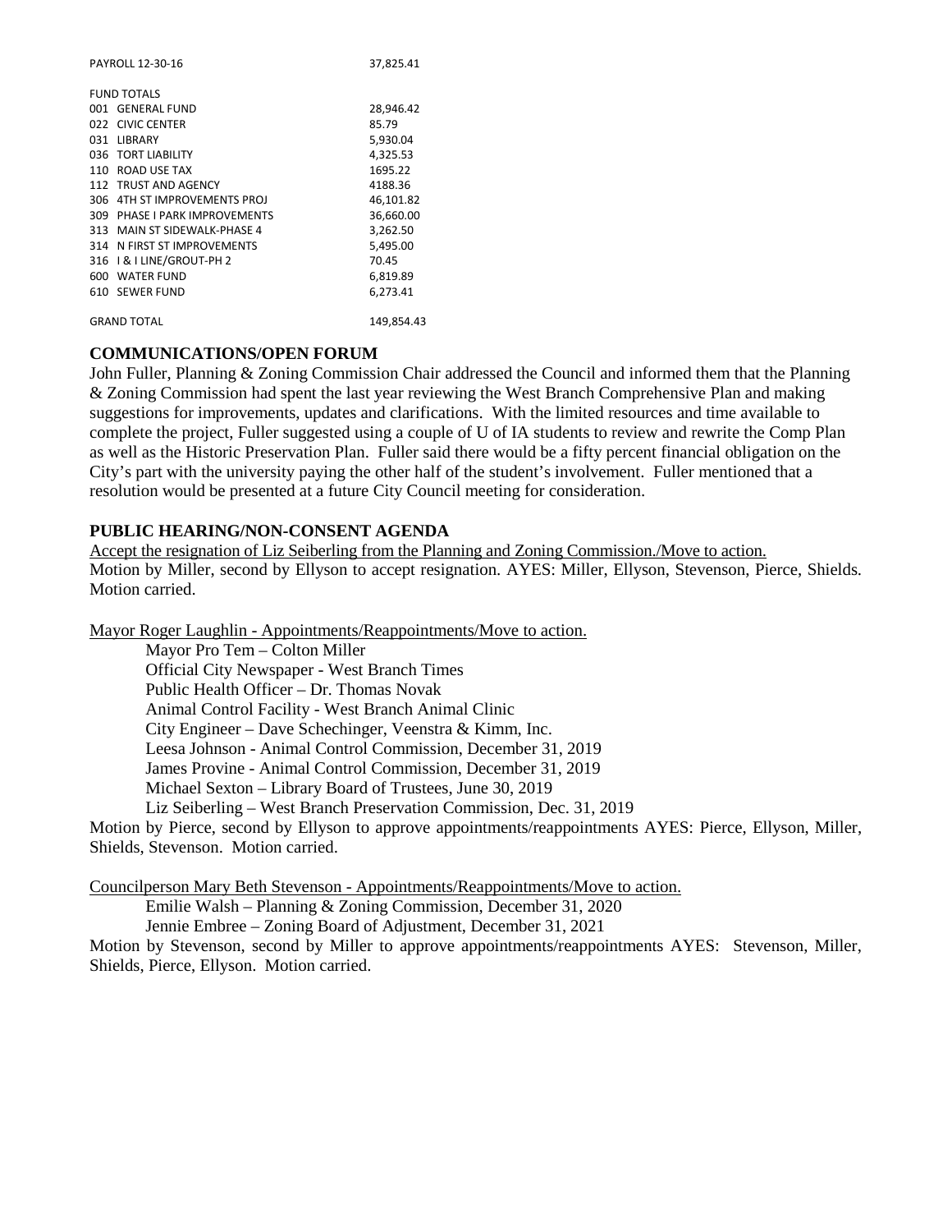| PAYROLL 12-30-16 |                               | 37,825.41  |
|------------------|-------------------------------|------------|
|                  | <b>FUND TOTALS</b>            |            |
|                  | 001 GENERAL FUND              | 28,946.42  |
|                  | 022 CIVIC CENTER              | 85.79      |
|                  | 031 LIBRARY                   | 5,930.04   |
|                  | 036 TORT LIABILITY            | 4,325.53   |
|                  | 110 ROAD USE TAX              | 1695.22    |
|                  | 112 TRUST AND AGENCY          | 4188.36    |
|                  | 306 4TH ST IMPROVEMENTS PROJ  | 46,101.82  |
|                  | 309 PHASE I PARK IMPROVEMENTS | 36,660.00  |
|                  | 313 MAIN ST SIDEWALK-PHASE 4  | 3,262.50   |
|                  | 314 N FIRST ST IMPROVEMENTS   | 5,495.00   |
|                  | 316   & I LINE/GROUT-PH 2     | 70.45      |
|                  | 600 WATER FUND                | 6,819.89   |
|                  | 610 SEWER FUND                | 6.273.41   |
|                  | <b>GRAND TOTAL</b>            | 149,854.43 |

## **COMMUNICATIONS/OPEN FORUM**

John Fuller, Planning & Zoning Commission Chair addressed the Council and informed them that the Planning & Zoning Commission had spent the last year reviewing the West Branch Comprehensive Plan and making suggestions for improvements, updates and clarifications. With the limited resources and time available to complete the project, Fuller suggested using a couple of U of IA students to review and rewrite the Comp Plan as well as the Historic Preservation Plan. Fuller said there would be a fifty percent financial obligation on the City's part with the university paying the other half of the student's involvement. Fuller mentioned that a resolution would be presented at a future City Council meeting for consideration.

# **PUBLIC HEARING/NON-CONSENT AGENDA**

Accept the resignation of Liz Seiberling from the Planning and Zoning Commission./Move to action. Motion by Miller, second by Ellyson to accept resignation. AYES: Miller, Ellyson, Stevenson, Pierce, Shields. Motion carried.

Mayor Roger Laughlin - Appointments/Reappointments/Move to action.

Mayor Pro Tem – Colton Miller Official City Newspaper - West Branch Times Public Health Officer – Dr. Thomas Novak Animal Control Facility - West Branch Animal Clinic City Engineer – Dave Schechinger, Veenstra & Kimm, Inc. Leesa Johnson - Animal Control Commission, December 31, 2019 James Provine - Animal Control Commission, December 31, 2019 Michael Sexton – Library Board of Trustees, June 30, 2019 Liz Seiberling – West Branch Preservation Commission, Dec. 31, 2019

Motion by Pierce, second by Ellyson to approve appointments/reappointments AYES: Pierce, Ellyson, Miller, Shields, Stevenson. Motion carried.

Councilperson Mary Beth Stevenson - Appointments/Reappointments/Move to action.

Emilie Walsh – Planning & Zoning Commission, December 31, 2020

Jennie Embree – Zoning Board of Adjustment, December 31, 2021

Motion by Stevenson, second by Miller to approve appointments/reappointments AYES: Stevenson, Miller, Shields, Pierce, Ellyson. Motion carried.